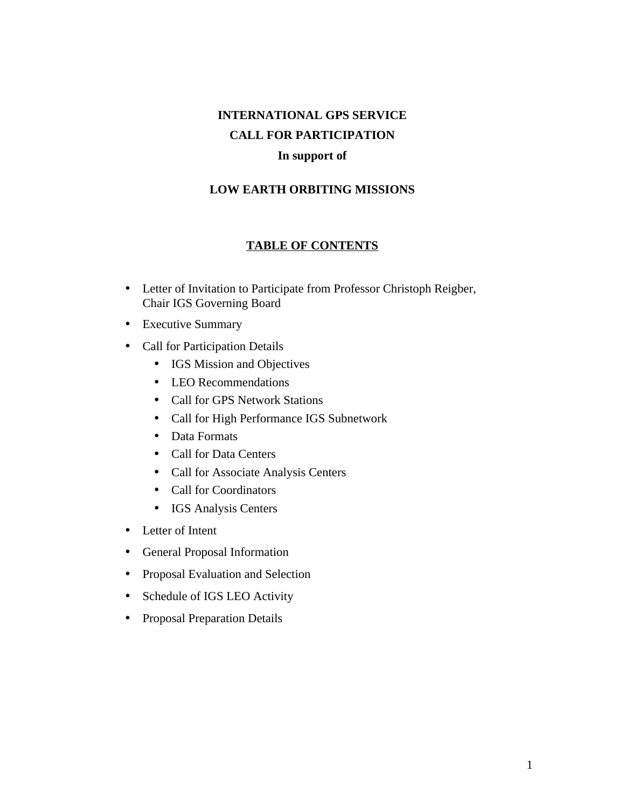# **INTERNATIONAL GPS SERVICE CALL FOR PARTICIPATION In support of**

#### **LOW EARTH ORBITING MISSIONS**

#### **TABLE OF CONTENTS**

- Letter of Invitation to Participate from Professor Christoph Reigber, Chair IGS Governing Board
- Executive Summary
- Call for Participation Details
	- IGS Mission and Objectives
	- LEO Recommendations
	- Call for GPS Network Stations
	- Call for High Performance IGS Subnetwork
	- Data Formats
	- Call for Data Centers
	- Call for Associate Analysis Centers
	- Call for Coordinators
	- IGS Analysis Centers
- Letter of Intent
- General Proposal Information
- Proposal Evaluation and Selection
- Schedule of IGS LEO Activity
- Proposal Preparation Details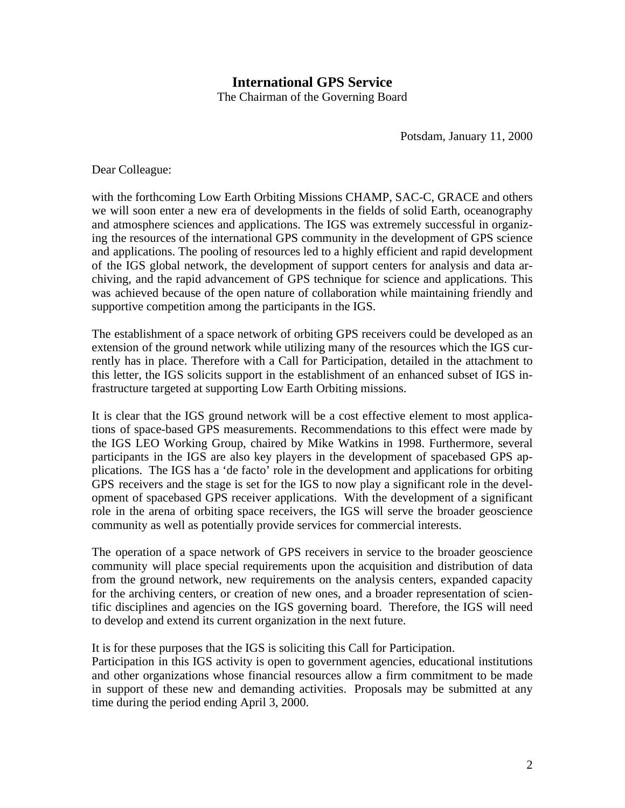# **International GPS Service**

The Chairman of the Governing Board

Potsdam, January 11, 2000

Dear Colleague:

with the forthcoming Low Earth Orbiting Missions CHAMP, SAC-C, GRACE and others we will soon enter a new era of developments in the fields of solid Earth, oceanography and atmosphere sciences and applications. The IGS was extremely successful in organizing the resources of the international GPS community in the development of GPS science and applications. The pooling of resources led to a highly efficient and rapid development of the IGS global network, the development of support centers for analysis and data archiving, and the rapid advancement of GPS technique for science and applications. This was achieved because of the open nature of collaboration while maintaining friendly and supportive competition among the participants in the IGS.

The establishment of a space network of orbiting GPS receivers could be developed as an extension of the ground network while utilizing many of the resources which the IGS currently has in place. Therefore with a Call for Participation, detailed in the attachment to this letter, the IGS solicits support in the establishment of an enhanced subset of IGS infrastructure targeted at supporting Low Earth Orbiting missions.

It is clear that the IGS ground network will be a cost effective element to most applications of space-based GPS measurements. Recommendations to this effect were made by the IGS LEO Working Group, chaired by Mike Watkins in 1998. Furthermore, several participants in the IGS are also key players in the development of spacebased GPS applications. The IGS has a 'de facto' role in the development and applications for orbiting GPS receivers and the stage is set for the IGS to now play a significant role in the development of spacebased GPS receiver applications. With the development of a significant role in the arena of orbiting space receivers, the IGS will serve the broader geoscience community as well as potentially provide services for commercial interests.

The operation of a space network of GPS receivers in service to the broader geoscience community will place special requirements upon the acquisition and distribution of data from the ground network, new requirements on the analysis centers, expanded capacity for the archiving centers, or creation of new ones, and a broader representation of scientific disciplines and agencies on the IGS governing board. Therefore, the IGS will need to develop and extend its current organization in the next future.

It is for these purposes that the IGS is soliciting this Call for Participation.

Participation in this IGS activity is open to government agencies, educational institutions and other organizations whose financial resources allow a firm commitment to be made in support of these new and demanding activities. Proposals may be submitted at any time during the period ending April 3, 2000.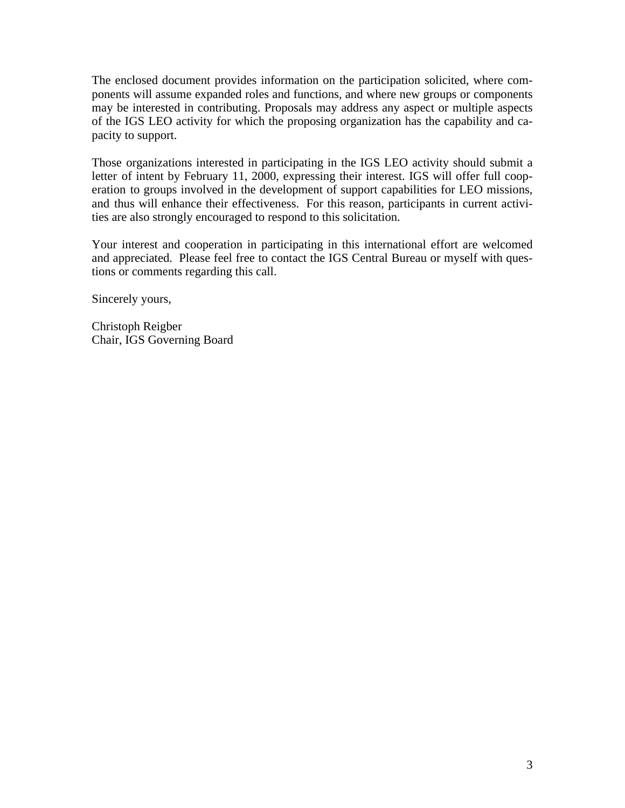The enclosed document provides information on the participation solicited, where components will assume expanded roles and functions, and where new groups or components may be interested in contributing. Proposals may address any aspect or multiple aspects of the IGS LEO activity for which the proposing organization has the capability and capacity to support.

Those organizations interested in participating in the IGS LEO activity should submit a letter of intent by February 11, 2000, expressing their interest. IGS will offer full cooperation to groups involved in the development of support capabilities for LEO missions, and thus will enhance their effectiveness. For this reason, participants in current activities are also strongly encouraged to respond to this solicitation.

Your interest and cooperation in participating in this international effort are welcomed and appreciated. Please feel free to contact the IGS Central Bureau or myself with questions or comments regarding this call.

Sincerely yours,

Christoph Reigber Chair, IGS Governing Board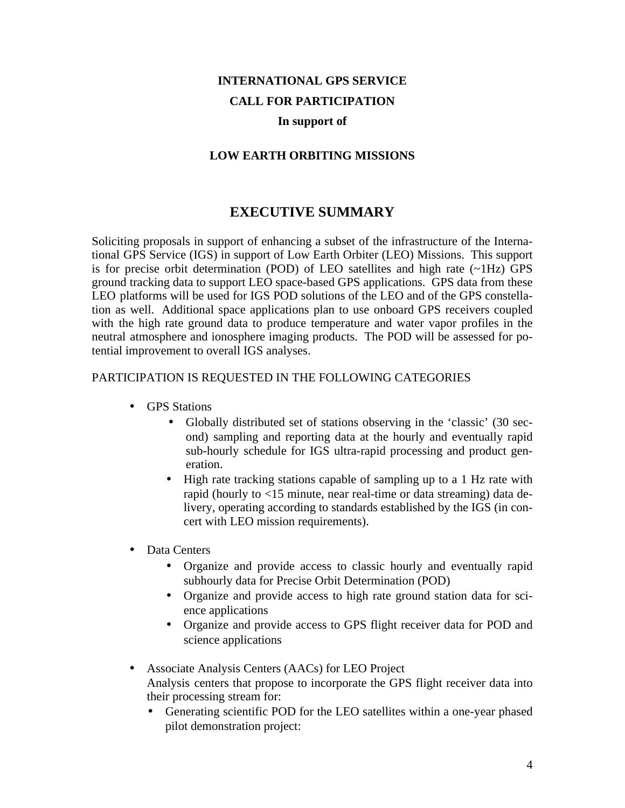# **INTERNATIONAL GPS SERVICE CALL FOR PARTICIPATION**

#### **In support of**

#### **LOW EARTH ORBITING MISSIONS**

## **EXECUTIVE SUMMARY**

Soliciting proposals in support of enhancing a subset of the infrastructure of the International GPS Service (IGS) in support of Low Earth Orbiter (LEO) Missions. This support is for precise orbit determination (POD) of LEO satellites and high rate (~1Hz) GPS ground tracking data to support LEO space-based GPS applications. GPS data from these LEO platforms will be used for IGS POD solutions of the LEO and of the GPS constellation as well. Additional space applications plan to use onboard GPS receivers coupled with the high rate ground data to produce temperature and water vapor profiles in the neutral atmosphere and ionosphere imaging products. The POD will be assessed for potential improvement to overall IGS analyses.

#### PARTICIPATION IS REQUESTED IN THE FOLLOWING CATEGORIES

- GPS Stations
	- Globally distributed set of stations observing in the 'classic' (30 second) sampling and reporting data at the hourly and eventually rapid sub-hourly schedule for IGS ultra-rapid processing and product generation.
	- High rate tracking stations capable of sampling up to a 1 Hz rate with rapid (hourly to <15 minute, near real-time or data streaming) data delivery, operating according to standards established by the IGS (in concert with LEO mission requirements).
- Data Centers
	- Organize and provide access to classic hourly and eventually rapid subhourly data for Precise Orbit Determination (POD)
	- Organize and provide access to high rate ground station data for science applications
	- Organize and provide access to GPS flight receiver data for POD and science applications
- Associate Analysis Centers (AACs) for LEO Project Analysis centers that propose to incorporate the GPS flight receiver data into their processing stream for:
	- Generating scientific POD for the LEO satellites within a one-year phased pilot demonstration project: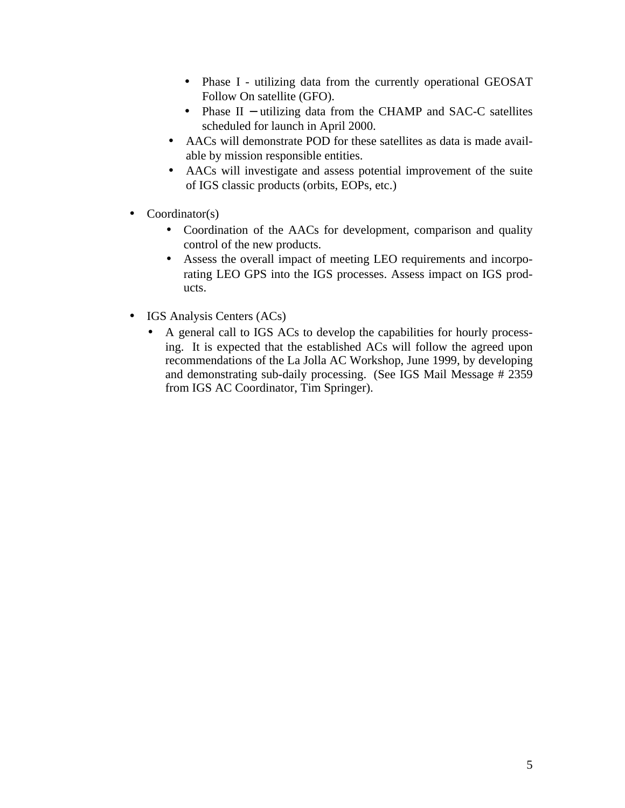- Phase I utilizing data from the currently operational GEOSAT Follow On satellite (GFO).
- Phase II utilizing data from the CHAMP and SAC-C satellites scheduled for launch in April 2000.
- AACs will demonstrate POD for these satellites as data is made available by mission responsible entities.
- AACs will investigate and assess potential improvement of the suite of IGS classic products (orbits, EOPs, etc.)
- $Coordinator(s)$ 
	- Coordination of the AACs for development, comparison and quality control of the new products.
	- Assess the overall impact of meeting LEO requirements and incorporating LEO GPS into the IGS processes. Assess impact on IGS products.
- IGS Analysis Centers (ACs)
	- A general call to IGS ACs to develop the capabilities for hourly processing. It is expected that the established ACs will follow the agreed upon recommendations of the La Jolla AC Workshop, June 1999, by developing and demonstrating sub-daily processing. (See IGS Mail Message # 2359 from IGS AC Coordinator, Tim Springer).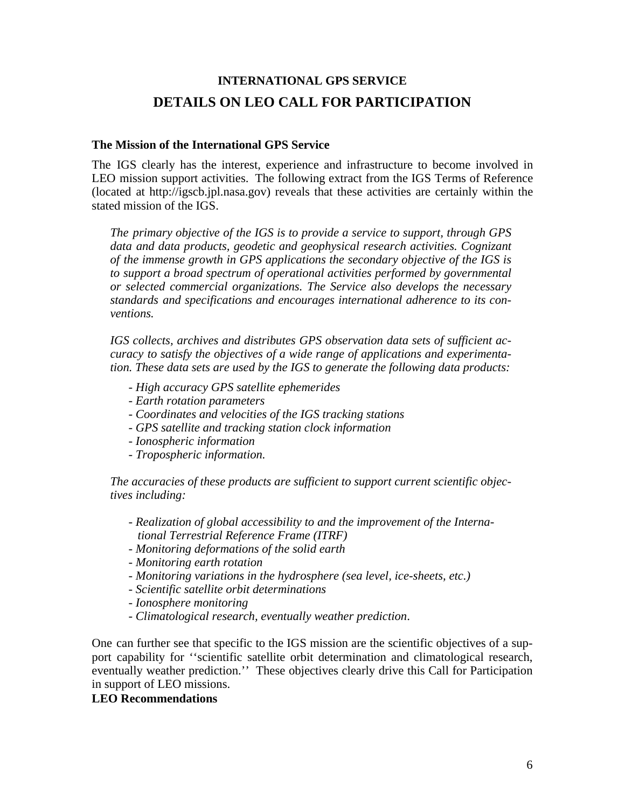# **INTERNATIONAL GPS SERVICE DETAILS ON LEO CALL FOR PARTICIPATION**

#### **The Mission of the International GPS Service**

The IGS clearly has the interest, experience and infrastructure to become involved in LEO mission support activities. The following extract from the IGS Terms of Reference (located at http://igscb.jpl.nasa.gov) reveals that these activities are certainly within the stated mission of the IGS.

*The primary objective of the IGS is to provide a service to support, through GPS data and data products, geodetic and geophysical research activities. Cognizant of the immense growth in GPS applications the secondary objective of the IGS is to support a broad spectrum of operational activities performed by governmental or selected commercial organizations. The Service also develops the necessary standards and specifications and encourages international adherence to its conventions.* 

*IGS collects, archives and distributes GPS observation data sets of sufficient accuracy to satisfy the objectives of a wide range of applications and experimentation. These data sets are used by the IGS to generate the following data products:*

- *High accuracy GPS satellite ephemerides*
- *Earth rotation parameters*
- *Coordinates and velocities of the IGS tracking stations*
- *GPS satellite and tracking station clock information*
- *Ionospheric information*
- *Tropospheric information.*

*The accuracies of these products are sufficient to support current scientific objectives including:* 

- *Realization of global accessibility to and the improvement of the International Terrestrial Reference Frame (ITRF)*
- *Monitoring deformations of the solid earth*
- *Monitoring earth rotation*
- *Monitoring variations in the hydrosphere (sea level, ice-sheets, etc.)*
- *Scientific satellite orbit determinations*
- *Ionosphere monitoring*
- *Climatological research, eventually weather prediction*.

One can further see that specific to the IGS mission are the scientific objectives of a support capability for ''scientific satellite orbit determination and climatological research, eventually weather prediction.'' These objectives clearly drive this Call for Participation in support of LEO missions.

#### **LEO Recommendations**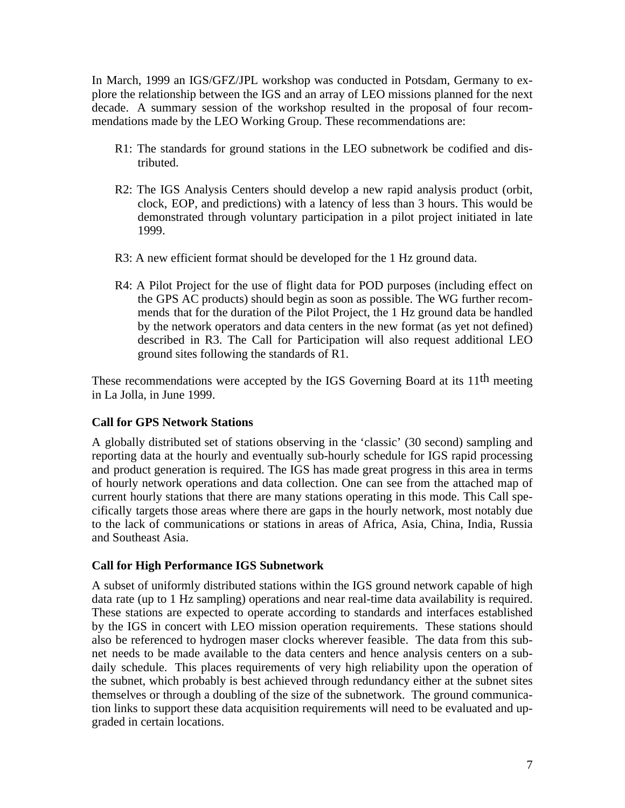In March, 1999 an IGS/GFZ/JPL workshop was conducted in Potsdam, Germany to explore the relationship between the IGS and an array of LEO missions planned for the next decade. A summary session of the workshop resulted in the proposal of four recommendations made by the LEO Working Group. These recommendations are:

- R1: The standards for ground stations in the LEO subnetwork be codified and distributed.
- R2: The IGS Analysis Centers should develop a new rapid analysis product (orbit, clock, EOP, and predictions) with a latency of less than 3 hours. This would be demonstrated through voluntary participation in a pilot project initiated in late 1999.
- R3: A new efficient format should be developed for the 1 Hz ground data.
- R4: A Pilot Project for the use of flight data for POD purposes (including effect on the GPS AC products) should begin as soon as possible. The WG further recommends that for the duration of the Pilot Project, the 1 Hz ground data be handled by the network operators and data centers in the new format (as yet not defined) described in R3. The Call for Participation will also request additional LEO ground sites following the standards of R1.

These recommendations were accepted by the IGS Governing Board at its 11<sup>th</sup> meeting in La Jolla, in June 1999.

#### **Call for GPS Network Stations**

A globally distributed set of stations observing in the 'classic' (30 second) sampling and reporting data at the hourly and eventually sub-hourly schedule for IGS rapid processing and product generation is required. The IGS has made great progress in this area in terms of hourly network operations and data collection. One can see from the attached map of current hourly stations that there are many stations operating in this mode. This Call specifically targets those areas where there are gaps in the hourly network, most notably due to the lack of communications or stations in areas of Africa, Asia, China, India, Russia and Southeast Asia.

#### **Call for High Performance IGS Subnetwork**

A subset of uniformly distributed stations within the IGS ground network capable of high data rate (up to 1 Hz sampling) operations and near real-time data availability is required. These stations are expected to operate according to standards and interfaces established by the IGS in concert with LEO mission operation requirements. These stations should also be referenced to hydrogen maser clocks wherever feasible. The data from this subnet needs to be made available to the data centers and hence analysis centers on a subdaily schedule. This places requirements of very high reliability upon the operation of the subnet, which probably is best achieved through redundancy either at the subnet sites themselves or through a doubling of the size of the subnetwork. The ground communication links to support these data acquisition requirements will need to be evaluated and upgraded in certain locations.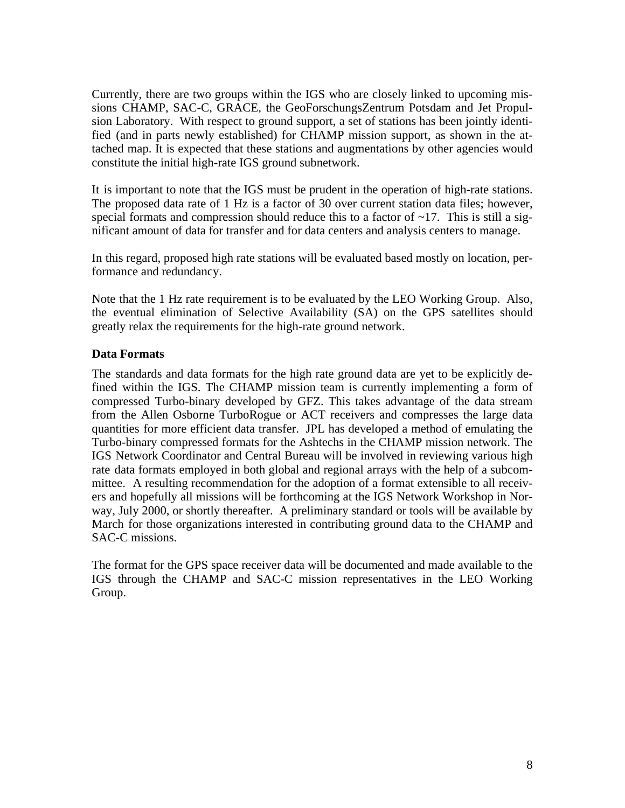Currently, there are two groups within the IGS who are closely linked to upcoming missions CHAMP, SAC-C, GRACE, the GeoForschungsZentrum Potsdam and Jet Propulsion Laboratory. With respect to ground support, a set of stations has been jointly identified (and in parts newly established) for CHAMP mission support, as shown in the attached map. It is expected that these stations and augmentations by other agencies would constitute the initial high-rate IGS ground subnetwork.

It is important to note that the IGS must be prudent in the operation of high-rate stations. The proposed data rate of 1 Hz is a factor of 30 over current station data files; however, special formats and compression should reduce this to a factor of  $\sim$ 17. This is still a significant amount of data for transfer and for data centers and analysis centers to manage.

In this regard, proposed high rate stations will be evaluated based mostly on location, performance and redundancy.

Note that the 1 Hz rate requirement is to be evaluated by the LEO Working Group. Also, the eventual elimination of Selective Availability (SA) on the GPS satellites should greatly relax the requirements for the high-rate ground network.

#### **Data Formats**

The standards and data formats for the high rate ground data are yet to be explicitly defined within the IGS. The CHAMP mission team is currently implementing a form of compressed Turbo-binary developed by GFZ. This takes advantage of the data stream from the Allen Osborne TurboRogue or ACT receivers and compresses the large data quantities for more efficient data transfer. JPL has developed a method of emulating the Turbo-binary compressed formats for the Ashtechs in the CHAMP mission network. The IGS Network Coordinator and Central Bureau will be involved in reviewing various high rate data formats employed in both global and regional arrays with the help of a subcommittee. A resulting recommendation for the adoption of a format extensible to all receivers and hopefully all missions will be forthcoming at the IGS Network Workshop in Norway, July 2000, or shortly thereafter. A preliminary standard or tools will be available by March for those organizations interested in contributing ground data to the CHAMP and SAC-C missions.

The format for the GPS space receiver data will be documented and made available to the IGS through the CHAMP and SAC-C mission representatives in the LEO Working Group.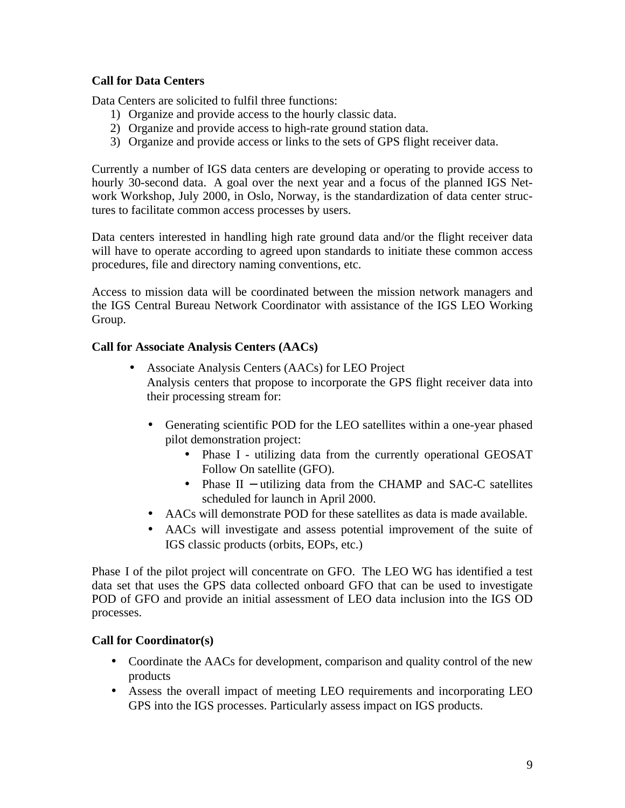#### **Call for Data Centers**

Data Centers are solicited to fulfil three functions:

- 1) Organize and provide access to the hourly classic data.
- 2) Organize and provide access to high-rate ground station data.
- 3) Organize and provide access or links to the sets of GPS flight receiver data.

Currently a number of IGS data centers are developing or operating to provide access to hourly 30-second data. A goal over the next year and a focus of the planned IGS Network Workshop, July 2000, in Oslo, Norway, is the standardization of data center structures to facilitate common access processes by users.

Data centers interested in handling high rate ground data and/or the flight receiver data will have to operate according to agreed upon standards to initiate these common access procedures, file and directory naming conventions, etc.

Access to mission data will be coordinated between the mission network managers and the IGS Central Bureau Network Coordinator with assistance of the IGS LEO Working Group.

#### **Call for Associate Analysis Centers (AACs)**

- Associate Analysis Centers (AACs) for LEO Project Analysis centers that propose to incorporate the GPS flight receiver data into their processing stream for:
	- Generating scientific POD for the LEO satellites within a one-year phased pilot demonstration project:
		- Phase I utilizing data from the currently operational GEOSAT Follow On satellite (GFO).
		- Phase II utilizing data from the CHAMP and SAC-C satellites scheduled for launch in April 2000.
	- AACs will demonstrate POD for these satellites as data is made available.
	- AACs will investigate and assess potential improvement of the suite of IGS classic products (orbits, EOPs, etc.)

Phase I of the pilot project will concentrate on GFO. The LEO WG has identified a test data set that uses the GPS data collected onboard GFO that can be used to investigate POD of GFO and provide an initial assessment of LEO data inclusion into the IGS OD processes.

#### **Call for Coordinator(s)**

- Coordinate the AACs for development, comparison and quality control of the new products
- Assess the overall impact of meeting LEO requirements and incorporating LEO GPS into the IGS processes. Particularly assess impact on IGS products.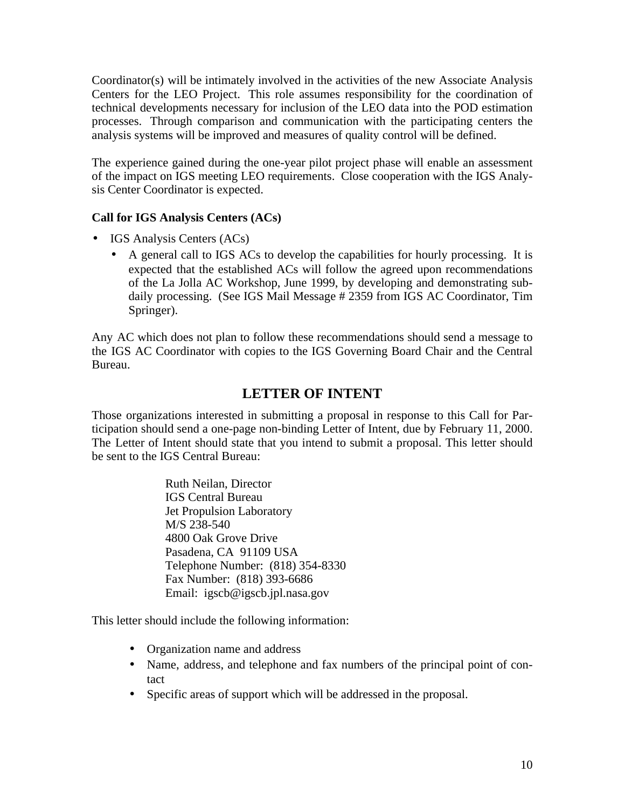Coordinator(s) will be intimately involved in the activities of the new Associate Analysis Centers for the LEO Project. This role assumes responsibility for the coordination of technical developments necessary for inclusion of the LEO data into the POD estimation processes. Through comparison and communication with the participating centers the analysis systems will be improved and measures of quality control will be defined.

The experience gained during the one-year pilot project phase will enable an assessment of the impact on IGS meeting LEO requirements. Close cooperation with the IGS Analysis Center Coordinator is expected.

#### **Call for IGS Analysis Centers (ACs)**

- IGS Analysis Centers (ACs)
	- A general call to IGS ACs to develop the capabilities for hourly processing. It is expected that the established ACs will follow the agreed upon recommendations of the La Jolla AC Workshop, June 1999, by developing and demonstrating subdaily processing. (See IGS Mail Message # 2359 from IGS AC Coordinator, Tim Springer).

Any AC which does not plan to follow these recommendations should send a message to the IGS AC Coordinator with copies to the IGS Governing Board Chair and the Central Bureau.

# **LETTER OF INTENT**

Those organizations interested in submitting a proposal in response to this Call for Participation should send a one-page non-binding Letter of Intent, due by February 11, 2000. The Letter of Intent should state that you intend to submit a proposal. This letter should be sent to the IGS Central Bureau:

> Ruth Neilan, Director IGS Central Bureau Jet Propulsion Laboratory M/S 238-540 4800 Oak Grove Drive Pasadena, CA 91109 USA Telephone Number: (818) 354-8330 Fax Number: (818) 393-6686 Email: igscb@igscb.jpl.nasa.gov

This letter should include the following information:

- Organization name and address
- Name, address, and telephone and fax numbers of the principal point of contact
- Specific areas of support which will be addressed in the proposal.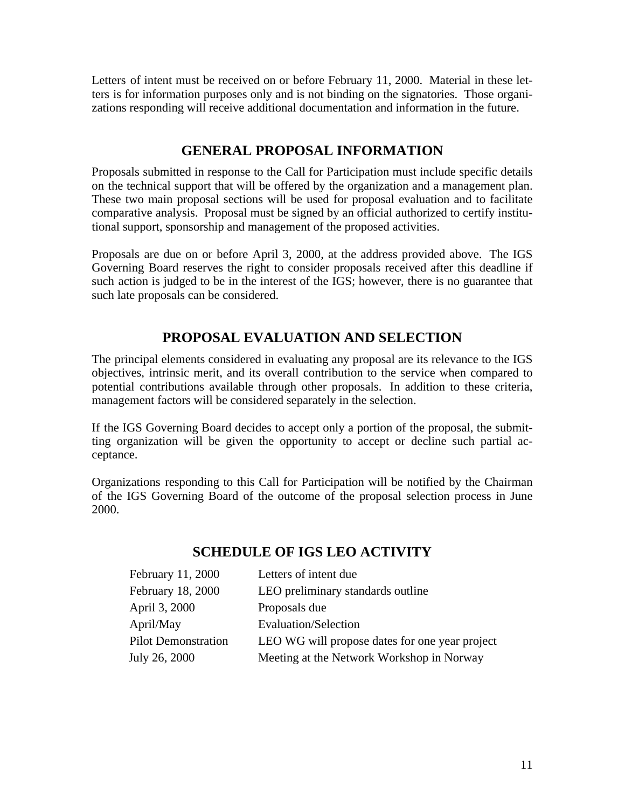Letters of intent must be received on or before February 11, 2000. Material in these letters is for information purposes only and is not binding on the signatories. Those organizations responding will receive additional documentation and information in the future.

# **GENERAL PROPOSAL INFORMATION**

Proposals submitted in response to the Call for Participation must include specific details on the technical support that will be offered by the organization and a management plan. These two main proposal sections will be used for proposal evaluation and to facilitate comparative analysis. Proposal must be signed by an official authorized to certify institutional support, sponsorship and management of the proposed activities.

Proposals are due on or before April 3, 2000, at the address provided above. The IGS Governing Board reserves the right to consider proposals received after this deadline if such action is judged to be in the interest of the IGS; however, there is no guarantee that such late proposals can be considered.

## **PROPOSAL EVALUATION AND SELECTION**

The principal elements considered in evaluating any proposal are its relevance to the IGS objectives, intrinsic merit, and its overall contribution to the service when compared to potential contributions available through other proposals. In addition to these criteria, management factors will be considered separately in the selection.

If the IGS Governing Board decides to accept only a portion of the proposal, the submitting organization will be given the opportunity to accept or decline such partial acceptance.

Organizations responding to this Call for Participation will be notified by the Chairman of the IGS Governing Board of the outcome of the proposal selection process in June 2000.

### **SCHEDULE OF IGS LEO ACTIVITY**

| February 11, 2000          | Letters of intent due                          |
|----------------------------|------------------------------------------------|
| February 18, 2000          | LEO preliminary standards outline              |
| April 3, 2000              | Proposals due                                  |
| April/May                  | Evaluation/Selection                           |
| <b>Pilot Demonstration</b> | LEO WG will propose dates for one year project |
| July 26, 2000              | Meeting at the Network Workshop in Norway      |